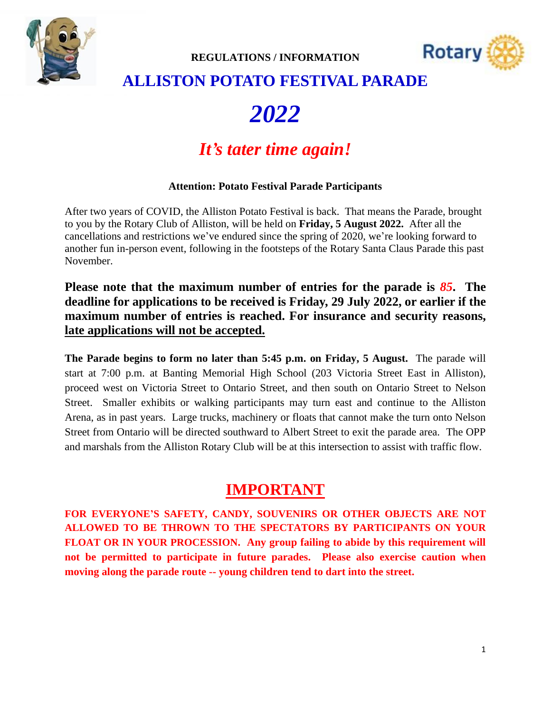



### **ALLISTON POTATO FESTIVAL PARADE**

# *2022*

## *It's tater time again!*

#### **Attention: Potato Festival Parade Participants**

After two years of COVID, the Alliston Potato Festival is back. That means the Parade, brought to you by the Rotary Club of Alliston, will be held on **Friday, 5 August 2022.** After all the cancellations and restrictions we've endured since the spring of 2020, we're looking forward to another fun in-person event, following in the footsteps of the Rotary Santa Claus Parade this past November.

**Please note that the maximum number of entries for the parade is** *85***. The deadline for applications to be received is Friday, 29 July 2022, or earlier if the maximum number of entries is reached. For insurance and security reasons, late applications will not be accepted.**

**The Parade begins to form no later than 5:45 p.m. on Friday, 5 August.** The parade will start at 7:00 p.m. at Banting Memorial High School (203 Victoria Street East in Alliston), proceed west on Victoria Street to Ontario Street, and then south on Ontario Street to Nelson Street. Smaller exhibits or walking participants may turn east and continue to the Alliston Arena, as in past years. Large trucks, machinery or floats that cannot make the turn onto Nelson Street from Ontario will be directed southward to Albert Street to exit the parade area. The OPP and marshals from the Alliston Rotary Club will be at this intersection to assist with traffic flow.

#### **IMPORTANT**

**FOR EVERYONE'S SAFETY, CANDY, SOUVENIRS OR OTHER OBJECTS ARE NOT ALLOWED TO BE THROWN TO THE SPECTATORS BY PARTICIPANTS ON YOUR FLOAT OR IN YOUR PROCESSION. Any group failing to abide by this requirement will not be permitted to participate in future parades. Please also exercise caution when moving along the parade route -- young children tend to dart into the street.**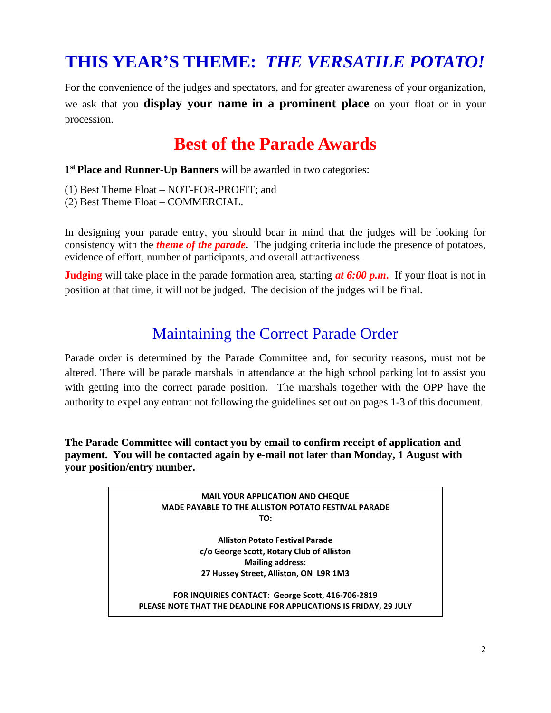## **THIS YEAR'S THEME:** *THE VERSATILE POTATO!*

For the convenience of the judges and spectators, and for greater awareness of your organization, we ask that you **display your name in a prominent place** on your float or in your procession.

## **Best of the Parade Awards**

**1 st Place and Runner-Up Banners** will be awarded in two categories:

- (1) Best Theme Float NOT-FOR-PROFIT; and
- (2) Best Theme Float COMMERCIAL.

In designing your parade entry, you should bear in mind that the judges will be looking for consistency with the *theme of the parade***.** The judging criteria include the presence of potatoes, evidence of effort, number of participants, and overall attractiveness.

**Judging** will take place in the parade formation area, starting *at 6:00 p.m***.** If your float is not in position at that time, it will not be judged. The decision of the judges will be final.

### Maintaining the Correct Parade Order

Parade order is determined by the Parade Committee and, for security reasons, must not be altered. There will be parade marshals in attendance at the high school parking lot to assist you with getting into the correct parade position. The marshals together with the OPP have the authority to expel any entrant not following the guidelines set out on pages 1-3 of this document.

**The Parade Committee will contact you by email to confirm receipt of application and payment. You will be contacted again by e-mail not later than Monday, 1 August with your position/entry number.**

> **MAIL YOUR APPLICATION AND CHEQUE MADE PAYABLE TO THE ALLISTON POTATO FESTIVAL PARADE TO:**

> > **Alliston Potato Festival Parade c/o George Scott, Rotary Club of Alliston Mailing address: 27 Hussey Street, Alliston, ON L9R 1M3**

**FOR INQUIRIES CONTACT: George Scott, 416-706-2819 PLEASE NOTE THAT THE DEADLINE FOR APPLICATIONS IS FRIDAY, 29 JULY**